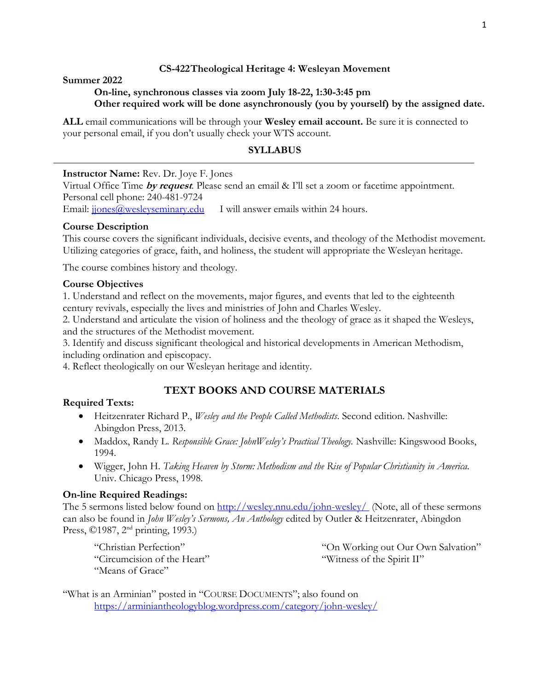### **CS-422Theological Heritage 4: Wesleyan Movement**

#### **Summer 2022**

### **On-line, synchronous classes via zoom July 18-22, 1:30-3:45 pm Other required work will be done asynchronously (you by yourself) by the assigned date.**

**ALL** email communications will be through your **Wesley email account.** Be sure it is connected to your personal email, if you don't usually check your WTS account.

# **SYLLABUS**

### **Instructor Name:** Rev. Dr. Joye F. Jones

Virtual Office Time **by request**. Please send an email & I'll set a zoom or facetime appointment. Personal cell phone: 240-481-9724 Email: *[jjones@wesleyseminary.edu](mailto:jjones@wesleyseminary.edu)* I will answer emails within 24 hours.

### **Course Description**

This course covers the significant individuals, decisive events, and theology of the Methodist movement. Utilizing categories of grace, faith, and holiness, the student will appropriate the Wesleyan heritage.

The course combines history and theology.

#### **Course Objectives**

1. Understand and reflect on the movements, major figures, and events that led to the eighteenth century revivals, especially the lives and ministries of John and Charles Wesley.

2. Understand and articulate the vision of holiness and the theology of grace as it shaped the Wesleys, and the structures of the Methodist movement.

3. Identify and discuss significant theological and historical developments in American Methodism, including ordination and episcopacy.

4. Reflect theologically on our Wesleyan heritage and identity.

# **TEXT BOOKS AND COURSE MATERIALS**

### **Required Texts:**

- Heitzenrater Richard P., *Wesley and the People Called Methodists*. Second edition. Nashville: Abingdon Press, 2013.
- Maddox, Randy L. *Responsible Grace: JohnWesley's Practical Theology.* Nashville: Kingswood Books, 1994.
- Wigger, John H. *Taking Heaven by Storm: Methodism and the Rise of Popular Christianity in America.*  Univ. Chicago Press, 1998.

### **On-line Required Readings:**

The 5 sermons listed below found on<http://wesley.nnu.edu/john-wesley/> (Note, all of these sermons can also be found in *John Wesley's Sermons, An Anthology* edited by Outler & Heitzenrater, Abingdon Press, ©1987, 2<sup>nd</sup> printing, 1993.)

"Christian Perfection" "Circumcision of the Heart" "Means of Grace"

"On Working out Our Own Salvation" "Witness of the Spirit II"

"What is an Arminian" posted in "COURSE DOCUMENTS"; also found on <https://arminiantheologyblog.wordpress.com/category/john-wesley/>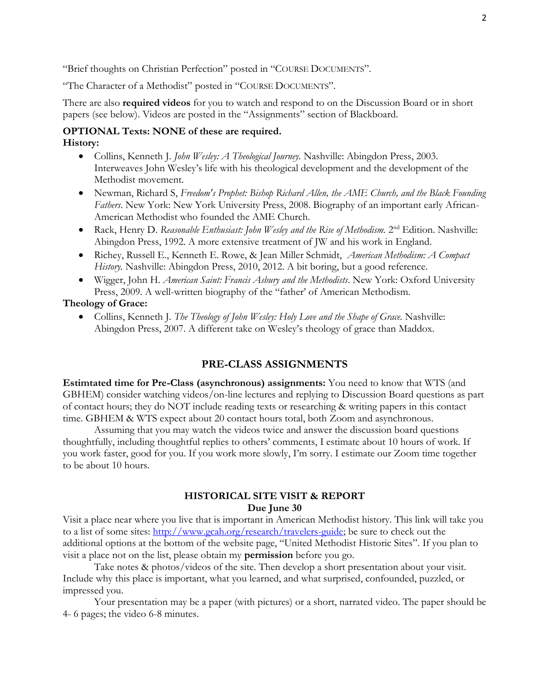"Brief thoughts on Christian Perfection" posted in "COURSE DOCUMENTS".

"The Character of a Methodist" posted in "COURSE DOCUMENTS".

There are also **required videos** for you to watch and respond to on the Discussion Board or in short papers (see below). Videos are posted in the "Assignments" section of Blackboard.

### **OPTIONAL Texts: NONE of these are required. History:**

- Collins, Kenneth J. *John Wesley: A Theological Journey.* Nashville: Abingdon Press, 2003. Interweaves John Wesley's life with his theological development and the development of the Methodist movement.
- Newman, Richard S, *Freedom's Prophet: Bishop Richard Allen, the AME Church, and the Black Founding Fathers*. New York: New York University Press, 2008. Biography of an important early African-American Methodist who founded the AME Church.
- Rack, Henry D. *Reasonable Enthusiast: John Wesley and the Rise of Methodism.* 2<sup>nd</sup> Edition. Nashville: Abingdon Press, 1992. A more extensive treatment of JW and his work in England.
- Richey, Russell E., Kenneth E. Rowe, & Jean Miller Schmidt, *American Methodism: A Compact History.* Nashville: Abingdon Press, 2010, 2012. A bit boring, but a good reference.
- Wigger, John H. *American Saint: Francis Asbury and the Methodists*. New York: Oxford University Press, 2009. A well-written biography of the "father' of American Methodism.

#### **Theology of Grace:**

• Collins, Kenneth J. *The Theology of John Wesley: Holy Love and the Shape of Grace.* Nashville: Abingdon Press, 2007. A different take on Wesley's theology of grace than Maddox.

# **PRE-CLASS ASSIGNMENTS**

**Estimtated time for Pre-Class (asynchronous) assignments:** You need to know that WTS (and GBHEM) consider watching videos/on-line lectures and replying to Discussion Board questions as part of contact hours; they do NOT include reading texts or researching & writing papers in this contact time. GBHEM & WTS expect about 20 contact hours total, both Zoom and asynchronous.

Assuming that you may watch the videos twice and answer the discussion board questions thoughtfully, including thoughtful replies to others' comments, I estimate about 10 hours of work. If you work faster, good for you. If you work more slowly, I'm sorry. I estimate our Zoom time together to be about 10 hours.

#### **HISTORICAL SITE VISIT & REPORT Due June 30**

Visit a place near where you live that is important in American Methodist history. This link will take you to a list of some sites: [http://www.gcah.org/research/travelers-guide;](http://www.gcah.org/research/travelers-guide) be sure to check out the additional options at the bottom of the website page, "United Methodist Historic Sites". If you plan to visit a place not on the list, please obtain my **permission** before you go.

Take notes & photos/videos of the site. Then develop a short presentation about your visit. Include why this place is important, what you learned, and what surprised, confounded, puzzled, or impressed you.

Your presentation may be a paper (with pictures) or a short, narrated video. The paper should be 4- 6 pages; the video 6-8 minutes.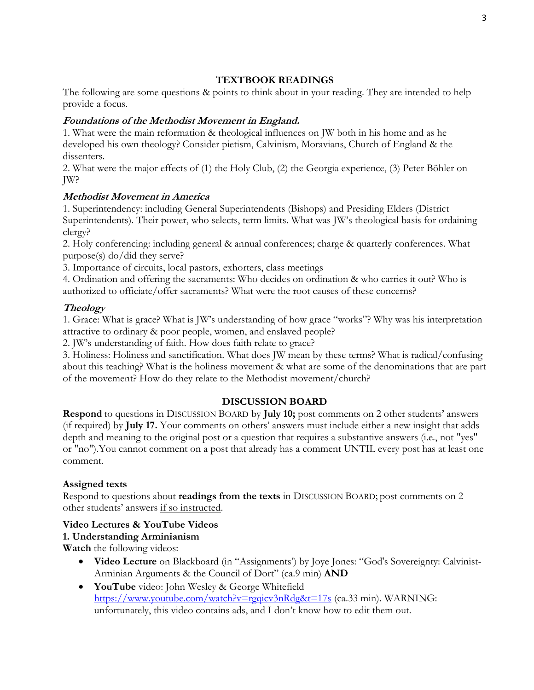# **TEXTBOOK READINGS**

The following are some questions & points to think about in your reading. They are intended to help provide a focus.

# **Foundations of the Methodist Movement in England.**

1. What were the main reformation & theological influences on JW both in his home and as he developed his own theology? Consider pietism, Calvinism, Moravians, Church of England & the dissenters.

2. What were the major effects of (1) the Holy Club, (2) the Georgia experience, (3) Peter Böhler on JW?

# **Methodist Movement in America**

1. Superintendency: including General Superintendents (Bishops) and Presiding Elders (District Superintendents). Their power, who selects, term limits. What was JW's theological basis for ordaining clergy?

2. Holy conferencing: including general & annual conferences; charge & quarterly conferences. What purpose(s) do/did they serve?

3. Importance of circuits, local pastors, exhorters, class meetings

4. Ordination and offering the sacraments: Who decides on ordination & who carries it out? Who is authorized to officiate/offer sacraments? What were the root causes of these concerns?

# **Theology**

1. Grace: What is grace? What is JW's understanding of how grace "works"? Why was his interpretation attractive to ordinary & poor people, women, and enslaved people?

2. JW's understanding of faith. How does faith relate to grace?

3. Holiness: Holiness and sanctification. What does JW mean by these terms? What is radical/confusing about this teaching? What is the holiness movement & what are some of the denominations that are part of the movement? How do they relate to the Methodist movement/church?

# **DISCUSSION BOARD**

**Respond** to questions in DISCUSSION BOARD by **July 10;** post comments on 2 other students' answers (if required) by **July 17.** Your comments on others' answers must include either a new insight that adds depth and meaning to the original post or a question that requires a substantive answers (i.e., not "yes" or "no").You cannot comment on a post that already has a comment UNTIL every post has at least one comment.

# **Assigned texts**

Respond to questions about **readings from the texts** in DISCUSSION BOARD; post comments on 2 other students' answers if so instructed.

# **Video Lectures & YouTube Videos**

# **1. Understanding Arminianism**

**Watch** the following videos:

- **Video Lecture** on Blackboard (in "Assignments') by Joye Jones: "God's Sovereignty: Calvinist-Arminian Arguments & the Council of Dort" (ca.9 min) **AND**
- **YouTube** video: John Wesley & George Whitefield <https://www.youtube.com/watch?v=rgqicv3nRdg&t=17s> (ca.33 min). WARNING: unfortunately, this video contains ads, and I don't know how to edit them out.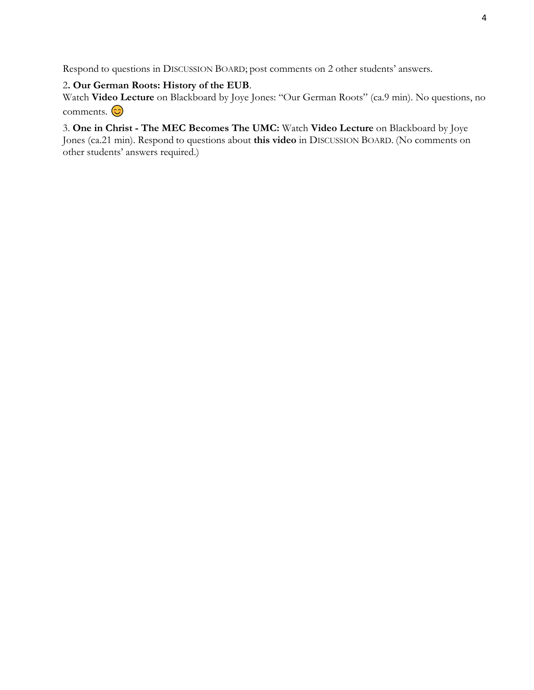Respond to questions in DISCUSSION BOARD; post comments on 2 other students' answers.

#### 2**. Our German Roots: History of the EUB**.

Watch **Video Lecture** on Blackboard by Joye Jones: "Our German Roots" (ca.9 min). No questions, no comments.  $\odot$ 

# 3. **One in Christ - The MEC Becomes The UMC:** Watch **Video Lecture** on Blackboard by Joye

Jones (ca.21 min). Respond to questions about **this video** in DISCUSSION BOARD. (No comments on other students' answers required.)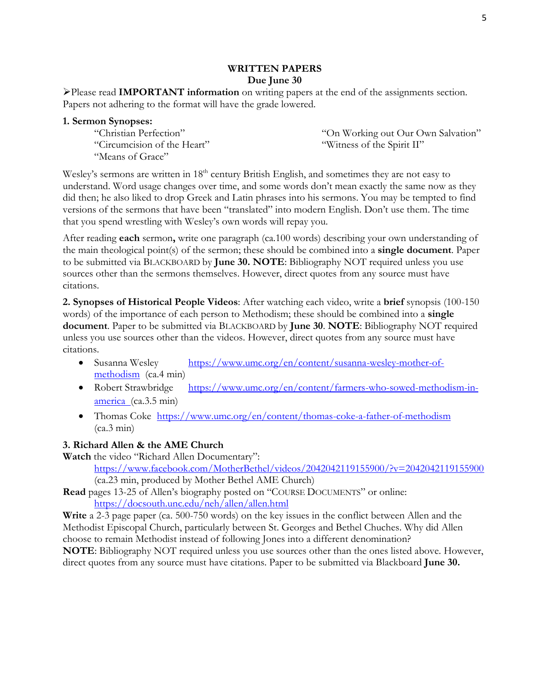#### **WRITTEN PAPERS Due June 30**

➢Please read **IMPORTANT information** on writing papers at the end of the assignments section. Papers not adhering to the format will have the grade lowered.

|  | 1. Sermon Synopses: |  |  |
|--|---------------------|--|--|
|--|---------------------|--|--|

"Christian Perfection" "Circumcision of the Heart" "Means of Grace"

"On Working out Our Own Salvation" "Witness of the Spirit II"

Wesley's sermons are written in 18<sup>th</sup> century British English, and sometimes they are not easy to understand. Word usage changes over time, and some words don't mean exactly the same now as they did then; he also liked to drop Greek and Latin phrases into his sermons. You may be tempted to find versions of the sermons that have been "translated" into modern English. Don't use them. The time that you spend wrestling with Wesley's own words will repay you.

After reading **each** sermon**,** write one paragraph (ca.100 words) describing your own understanding of the main theological point(s) of the sermon; these should be combined into a **single document**. Paper to be submitted via BLACKBOARD by **June 30. NOTE**: Bibliography NOT required unless you use sources other than the sermons themselves. However, direct quotes from any source must have citations.

**2. Synopses of Historical People Videos**: After watching each video, write a **brief** synopsis (100-150 words) of the importance of each person to Methodism; these should be combined into a **single document**. Paper to be submitted via BLACKBOARD by **June 30**. **NOTE**: Bibliography NOT required unless you use sources other than the videos. However, direct quotes from any source must have citations.

- Susanna Wesley [https://www.umc.org/en/content/susanna-wesley-mother-of](https://www.umc.org/en/content/susanna-wesley-mother-of-methodism)[methodism](https://www.umc.org/en/content/susanna-wesley-mother-of-methodism) (ca.4 min)
- Robert Strawbridge [https://www.umc.org/en/content/farmers-who-sowed-methodism-in](https://www.umc.org/en/content/farmers-who-sowed-methodism-in-america)[america](https://www.umc.org/en/content/farmers-who-sowed-methodism-in-america) (ca.3.5 min)
- Thomas Coke <https://www.umc.org/en/content/thomas-coke-a-father-of-methodism>  $(ca.3 min)$

# **3. Richard Allen & the AME Church**

**Watch** the video "Richard Allen Documentary": <https://www.facebook.com/MotherBethel/videos/2042042119155900/?v=2042042119155900> (ca.23 min, produced by Mother Bethel AME Church)

**Read** pages 13-25 of Allen's biography posted on "COURSE DOCUMENTS" or online: <https://docsouth.unc.edu/neh/allen/allen.html>

**Write** a 2-3 page paper (ca. 500-750 words) on the key issues in the conflict between Allen and the Methodist Episcopal Church, particularly between St. Georges and Bethel Chuches. Why did Allen choose to remain Methodist instead of following Jones into a different denomination? **NOTE**: Bibliography NOT required unless you use sources other than the ones listed above. However, direct quotes from any source must have citations. Paper to be submitted via Blackboard **June 30.**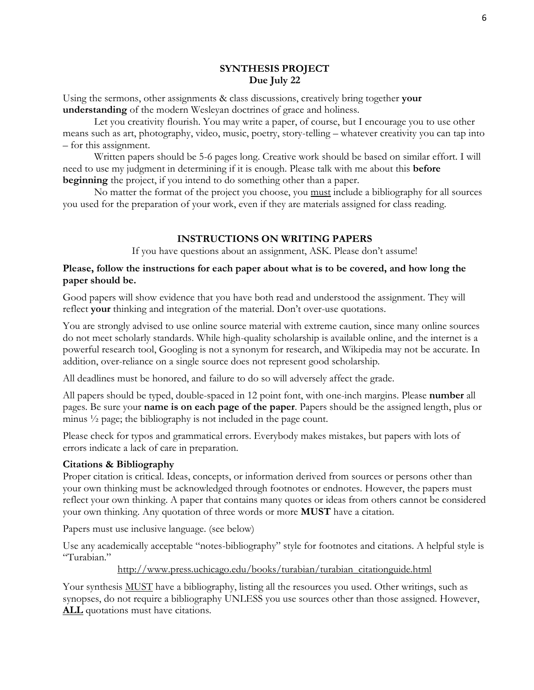### **SYNTHESIS PROJECT Due July 22**

Using the sermons, other assignments & class discussions, creatively bring together **your understanding** of the modern Wesleyan doctrines of grace and holiness.

Let you creativity flourish. You may write a paper, of course, but I encourage you to use other means such as art, photography, video, music, poetry, story-telling – whatever creativity you can tap into – for this assignment.

Written papers should be 5-6 pages long. Creative work should be based on similar effort. I will need to use my judgment in determining if it is enough. Please talk with me about this **before beginning** the project, if you intend to do something other than a paper.

No matter the format of the project you choose, you must include a bibliography for all sources you used for the preparation of your work, even if they are materials assigned for class reading.

# **INSTRUCTIONS ON WRITING PAPERS**

If you have questions about an assignment, ASK. Please don't assume!

### **Please, follow the instructions for each paper about what is to be covered, and how long the paper should be.**

Good papers will show evidence that you have both read and understood the assignment. They will reflect **your** thinking and integration of the material. Don't over-use quotations.

You are strongly advised to use online source material with extreme caution, since many online sources do not meet scholarly standards. While high-quality scholarship is available online, and the internet is a powerful research tool, Googling is not a synonym for research, and Wikipedia may not be accurate. In addition, over-reliance on a single source does not represent good scholarship.

All deadlines must be honored, and failure to do so will adversely affect the grade.

All papers should be typed, double-spaced in 12 point font, with one-inch margins. Please **number** all pages. Be sure your **name is on each page of the paper**. Papers should be the assigned length, plus or minus ½ page; the bibliography is not included in the page count.

Please check for typos and grammatical errors. Everybody makes mistakes, but papers with lots of errors indicate a lack of care in preparation.

### **Citations & Bibliography**

Proper citation is critical. Ideas, concepts, or information derived from sources or persons other than your own thinking must be acknowledged through footnotes or endnotes. However, the papers must reflect your own thinking. A paper that contains many quotes or ideas from others cannot be considered your own thinking. Any quotation of three words or more **MUST** have a citation.

Papers must use inclusive language. (see below)

Use any academically acceptable "notes-bibliography" style for footnotes and citations. A helpful style is "Turabian."

[http://www.press.uchicago.edu/books/turabian/turabian\\_citationguide.html](http://www.press.uchicago.edu/books/turabian/turabian_citationguide.html)

Your synthesis MUST have a bibliography, listing all the resources you used. Other writings, such as synopses, do not require a bibliography UNLESS you use sources other than those assigned. However, ALL quotations must have citations.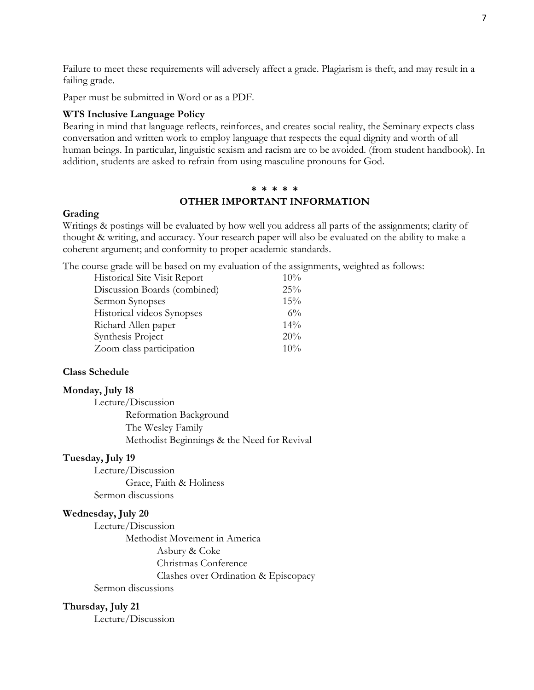Failure to meet these requirements will adversely affect a grade. Plagiarism is theft, and may result in a failing grade.

Paper must be submitted in Word or as a PDF.

#### **WTS Inclusive Language Policy**

Bearing in mind that language reflects, reinforces, and creates social reality, the Seminary expects class conversation and written work to employ language that respects the equal dignity and worth of all human beings. In particular, linguistic sexism and racism are to be avoided. (from student handbook). In addition, students are asked to refrain from using masculine pronouns for God.

#### **\* \* \* \* \***

#### **OTHER IMPORTANT INFORMATION**

#### **Grading**

Writings & postings will be evaluated by how well you address all parts of the assignments; clarity of thought & writing, and accuracy. Your research paper will also be evaluated on the ability to make a coherent argument; and conformity to proper academic standards.

The course grade will be based on my evaluation of the assignments, weighted as follows:

| Historical Site Visit Report | 10%   |
|------------------------------|-------|
| Discussion Boards (combined) | 25%   |
| Sermon Synopses              | 15%   |
| Historical videos Synopses   | $6\%$ |
| Richard Allen paper          | 14%   |
| Synthesis Project            | 20%   |
| Zoom class participation     | 10%   |

#### **Class Schedule**

#### **Monday, July 18**

Lecture/Discussion Reformation Background The Wesley Family Methodist Beginnings & the Need for Revival

#### **Tuesday, July 19**

Lecture/Discussion Grace, Faith & Holiness Sermon discussions

#### **Wednesday, July 20**

Lecture/Discussion Methodist Movement in America Asbury & Coke Christmas Conference Clashes over Ordination & Episcopacy Sermon discussions

#### **Thursday, July 21**

Lecture/Discussion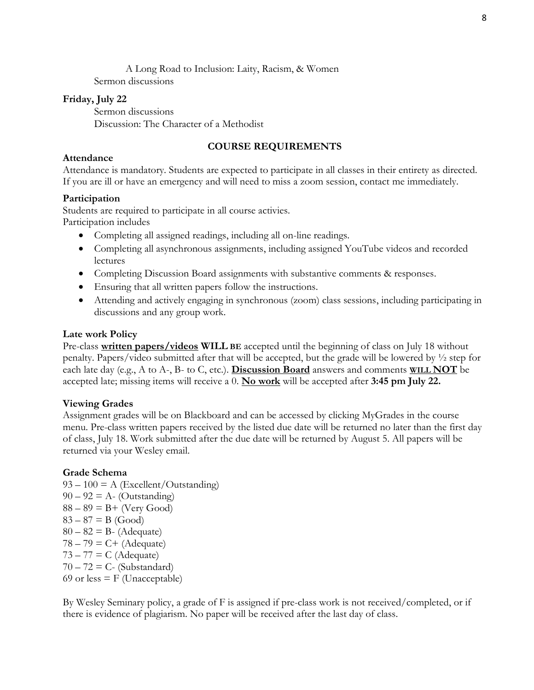A Long Road to Inclusion: Laity, Racism, & Women Sermon discussions

### **Friday, July 22**

Sermon discussions Discussion: The Character of a Methodist

# **COURSE REQUIREMENTS**

### **Attendance**

Attendance is mandatory. Students are expected to participate in all classes in their entirety as directed. If you are ill or have an emergency and will need to miss a zoom session, contact me immediately.

# **Participation**

Students are required to participate in all course activies. Participation includes

- Completing all assigned readings, including all on-line readings.
- Completing all asynchronous assignments, including assigned YouTube videos and recorded lectures
- Completing Discussion Board assignments with substantive comments & responses.
- Ensuring that all written papers follow the instructions.
- Attending and actively engaging in synchronous (zoom) class sessions, including participating in discussions and any group work.

# **Late work Policy**

Pre-class **written papers/videos WILL BE** accepted until the beginning of class on July 18 without penalty. Papers/video submitted after that will be accepted, but the grade will be lowered by ½ step for each late day (e.g., A to A-, B- to C, etc.). **Discussion Board** answers and comments **WILL NOT** be accepted late; missing items will receive a 0. **No work** will be accepted after **3:45 pm July 22.**

# **Viewing Grades**

Assignment grades will be on Blackboard and can be accessed by clicking MyGrades in the course menu. Pre-class written papers received by the listed due date will be returned no later than the first day of class, July 18. Work submitted after the due date will be returned by August 5. All papers will be returned via your Wesley email.

# **Grade Schema**

 $93 - 100 = A$  (Excellent/Outstanding)  $90 - 92 = A - (Outstanding)$  $88 - 89 = B +$  (Very Good)  $83 - 87 = B$  (Good)  $80 - 82 = B$ - (Adequate)  $78 - 79 = C + (Adequate)$  $73 - 77 = C$  (Adequate)  $70 - 72 = C$ - (Substandard) 69 or less  $=$  F (Unacceptable)

By Wesley Seminary policy, a grade of F is assigned if pre-class work is not received/completed, or if there is evidence of plagiarism. No paper will be received after the last day of class.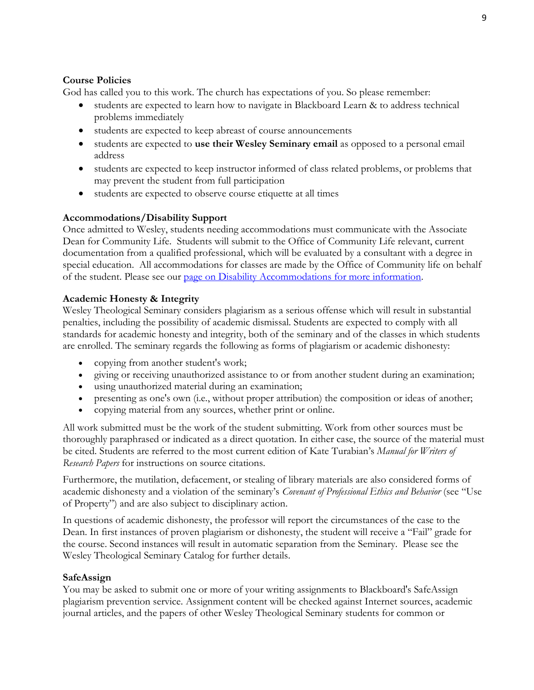### **Course Policies**

God has called you to this work. The church has expectations of you. So please remember:

- students are expected to learn how to navigate in Blackboard Learn & to address technical problems immediately
- students are expected to keep abreast of course announcements
- students are expected to **use their Wesley Seminary email** as opposed to a personal email address
- students are expected to keep instructor informed of class related problems, or problems that may prevent the student from full participation
- students are expected to observe course etiquette at all times

# **Accommodations/Disability Support**

Once admitted to Wesley, students needing accommodations must communicate with the Associate Dean for Community Life. Students will submit to the Office of Community Life relevant, current documentation from a qualified professional, which will be evaluated by a consultant with a degree in special education. All accommodations for classes are made by the Office of Community life on behalf of the student. Please see our [page on Disability Accommodations for more information.](https://www.wesleyseminary.edu/community-life/academic-and-access-support/disability-accommodations/)

# **Academic Honesty & Integrity**

Wesley Theological Seminary considers plagiarism as a serious offense which will result in substantial penalties, including the possibility of academic dismissal. Students are expected to comply with all standards for academic honesty and integrity, both of the seminary and of the classes in which students are enrolled. The seminary regards the following as forms of plagiarism or academic dishonesty:

- copying from another student's work;
- giving or receiving unauthorized assistance to or from another student during an examination;
- using unauthorized material during an examination;
- presenting as one's own (i.e., without proper attribution) the composition or ideas of another;
- copying material from any sources, whether print or online.

All work submitted must be the work of the student submitting. Work from other sources must be thoroughly paraphrased or indicated as a direct quotation. In either case, the source of the material must be cited. Students are referred to the most current edition of Kate Turabian's *Manual for Writers of Research Papers* for instructions on source citations.

Furthermore, the mutilation, defacement, or stealing of library materials are also considered forms of academic dishonesty and a violation of the seminary's *Covenant of Professional Ethics and Behavior* (see "Use of Property") and are also subject to disciplinary action.

In questions of academic dishonesty, the professor will report the circumstances of the case to the Dean. In first instances of proven plagiarism or dishonesty, the student will receive a "Fail" grade for the course. Second instances will result in automatic separation from the Seminary. Please see the Wesley Theological Seminary Catalog for further details.

### **SafeAssign**

You may be asked to submit one or more of your writing assignments to Blackboard's SafeAssign plagiarism prevention service. Assignment content will be checked against Internet sources, academic journal articles, and the papers of other Wesley Theological Seminary students for common or